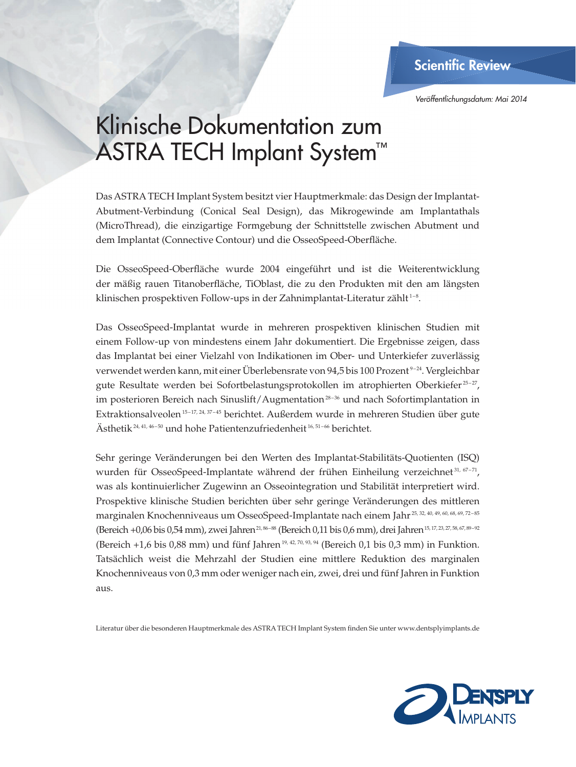**Scientific Review** 

*Veröffentlichungsdatum: Mai 2014*

## Klinische Dokumentation zum ASTRA TECH Implant System™

Das ASTRA TECH Implant System besitzt vier Hauptmerkmale: das Design der Implantat-Abutment-Verbindung (Conical Seal Design), das Mikrogewinde am Implantathals (MicroThread), die einzigartige Formgebung der Schnittstelle zwischen Abutment und dem Implantat (Connective Contour) und die OsseoSpeed-Oberfläche.

Die OsseoSpeed-Oberfläche wurde 2004 eingeführt und ist die Weiterentwicklung der mäßig rauen Titanoberfläche, TiOblast, die zu den Produkten mit den am längsten klinischen prospektiven Follow-ups in der Zahnimplantat-Literatur zählt<sup>1-8</sup>.

Das OsseoSpeed-Implantat wurde in mehreren prospektiven klinischen Studien mit einem Follow-up von mindestens einem Jahr dokumentiert. Die Ergebnisse zeigen, dass das Implantat bei einer Vielzahl von Indikationen im Ober- und Unterkiefer zuverlässig verwendet werden kann, mit einer Überlebensrate von 94,5 bis 100 Prozent<sup>9-24</sup>. Vergleichbar gute Resultate werden bei Sofortbelastungsprotokollen im atrophierten Oberkiefer<sup>25-27</sup>, im posterioren Bereich nach Sinuslift/Augmentation $^{28-36}$  und nach Sofortimplantation in Extraktionsalveolen<sup>15-17, 24, 37-45</sup> berichtet. Außerdem wurde in mehreren Studien über gute Ästhetik<sup>24, 41, 46-50</sup> und hohe Patientenzufriedenheit<sup>16, 51-66</sup> berichtet.

Sehr geringe Veränderungen bei den Werten des Implantat-Stabilitäts-Quotienten (ISQ) wurden für OsseoSpeed-Implantate während der frühen Einheilung verzeichnet 31, 67-71, was als kontinuierlicher Zugewinn an Osseointegration und Stabilität interpretiert wird. Prospektive klinische Studien berichten über sehr geringe Veränderungen des mittleren marginalen Knochenniveaus um OsseoSpeed-Implantate nach einem Jahr 25, 32, 40, 49, 60, 68, 69, 72 – 85 (Bereich +0,06 bis 0,54 mm), zwei Jahren<sup>21, 86-88</sup> (Bereich 0,11 bis 0,6 mm), drei Jahren 15, 17, 23, 27, 58, 67, 89-92 (Bereich +1,6 bis 0,88 mm) und fünf Jahren 19, 42, 70, 93, 94 (Bereich 0,1 bis 0,3 mm) in Funktion. Tatsächlich weist die Mehrzahl der Studien eine mittlere Reduktion des marginalen Knochenniveaus von 0,3 mm oder weniger nach ein, zwei, drei und fünf Jahren in Funktion aus.

Literatur über die besonderen Hauptmerkmale des ASTRA TECH Implant System finden Sie unter www.dentsplyimplants.de

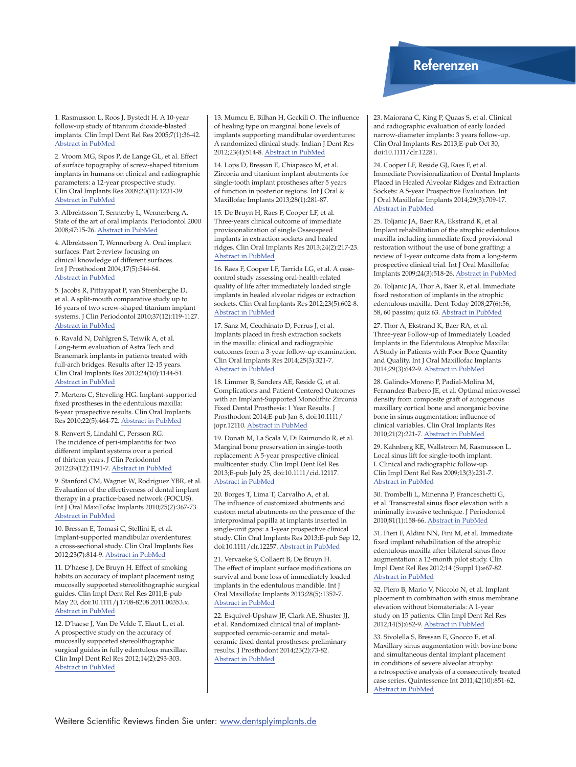## Referenzen

1. Rasmusson L, Roos J, Bystedt H. A 10-year follow-up study of titanium dioxide-blasted implants. Clin Impl Dent Rel Res 2005;7(1):36-42. [Abstract in PubMed](http://www.ncbi.nlm.nih.gov/entrez/query.fcgi?cmd=Retrieve&db=PubMed&dopt=Citation&list_uids=15903173)

2. Vroom MG, Sipos P, de Lange GL, et al. Effect of surface topography of screw-shaped titanium implants in humans on clinical and radiographic parameters: a 12-year prospective study. Clin Oral Implants Res 2009;20(11):1231-39. [Abstract in PubMed](http://www.ncbi.nlm.nih.gov/entrez/query.fcgi?cmd=Retrieve&db=PubMed&dopt=Citation&list_uids=19709060)

3. Albrektsson T, Sennerby L, Wennerberg A. State of the art of oral implants. Periodontol 2000 2008;47:15-26. [Abstract in PubMed](http://www.ncbi.nlm.nih.gov/entrez/query.fcgi?cmd=Retrieve&db=PubMed&dopt=Citation&list_uids=18412571)

4. Albrektsson T, Wennerberg A. Oral implant surfaces: Part 2-review focusing on clinical knowledge of different surfaces. Int J Prosthodont 2004;17(5):544-64. [Abstract in PubMed](http://www.ncbi.nlm.nih.gov/entrez/query.fcgi?cmd=Retrieve&db=PubMed&dopt=Citation&list_uids=15543911)

5. Jacobs R, Pittayapat P, van Steenberghe D, et al. A split-mouth comparative study up to 16 years of two screw-shaped titanium implant systems. J Clin Periodontol 2010;37(12):119-1127. [Abstract in PubMed](http://www.ncbi.nlm.nih.gov/entrez/query.fcgi?cmd=Retrieve&db=PubMed&dopt=Citation&list_uids=20874829)

6. Ravald N, Dahlgren S, Teiwik A, et al. Long-term evaluation of Astra Tech and Branemark implants in patients treated with full-arch bridges. Results after 12-15 years. Clin Oral Implants Res 2013;24(10):1144-51. [Abstract in PubMed](http://www.ncbi.nlm.nih.gov/pubmed/22762251)

7. Mertens C, Steveling HG. Implant-supported fixed prostheses in the edentulous maxilla: 8-year prospective results. Clin Oral Implants Res 2010;22(5):464-72. [Abstract in PubMed](http://http//www.ncbi.nlm.nih.gov/entrez/query.fcgi?cmd=Retrieve&db=PubMed&dopt=Citation&list_uids=21087314)

8. Renvert S, Lindahl C, Persson RG. The incidence of peri-implantitis for two different implant systems over a period of thirteen years. J Clin Periodontol 2012;39(12):1191-7. [Abstract in PubMed](http://www.ncbi.nlm.nih.gov/pubmed/23151295)

9. Stanford CM, Wagner W, Rodriguez YBR, et al. Evaluation of the effectiveness of dental implant therapy in a practice-based network (FOCUS). Int J Oral Maxillofac Implants 2010;25(2):367-73. [Abstract in PubMed](http://www.ncbi.nlm.nih.gov/entrez/query.fcgi?cmd=Retrieve&db=PubMed&dopt=Citation&list_uids=20369097)

10. Bressan E, Tomasi C, Stellini E, et al. Implant-supported mandibular overdentures: a cross-sectional study. Clin Oral Implants Res 2012;23(7):814-9. [Abstract in PubMed](http://www.ncbi.nlm.nih.gov/entrez/query.fcgi?cmd=Retrieve&db=PubMed&dopt=Citation&list_uids=21631597)

11. D'haese J, De Bruyn H. Effect of smoking habits on accuracy of implant placement using mucosally supported stereolithographic surgical guides. Clin Impl Dent Rel Res 2011;E-pub May 20, doi:10.1111/j.1708-8208.2011.00353.x. [Abstract in PubMed](http://www.ncbi.nlm.nih.gov/pubmed?term=D)

12. D'haese J, Van De Velde T, Elaut L, et al. A prospective study on the accuracy of mucosally supported stereolithographic surgical guides in fully edentulous maxillae. Clin Impl Dent Rel Res 2012;14(2):293-303. [Abstract in PubMed](http://www.ncbi.nlm.nih.gov/pubmed/19906267)

13. Mumcu E, Bilhan H, Geckili O. The influence of healing type on marginal bone levels of implants supporting mandibular overdentures: A randomized clinical study. Indian J Dent Res 2012;23(4):514-8. [Abstract in PubMed](http://www.ncbi.nlm.nih.gov/pubmed/23257488)

14. Lops D, Bressan E, Chiapasco M, et al. Zirconia and titanium implant abutments for single-tooth implant prostheses after 5 years of function in posterior regions. Int J Oral & Maxillofac Implants 2013;28(1):281-87.

15. De Bruyn H, Raes F, Cooper LF, et al. Three-years clinical outcome of immediate provisionalization of single Osseospeed implants in extraction sockets and healed ridges. Clin Oral Implants Res 2013;24(2):217-23. [Abstract in PubMed](http://www.ncbi.nlm.nih.gov/pubmed/22469026)

16. Raes F, Cooper LF, Tarrida LG, et al. A casecontrol study assessing oral-health-related quality of life after immediately loaded single implants in healed alveolar ridges or extraction sockets. Clin Oral Implants Res 2012;23(5):602-8. [Abstract in PubMed](http://www.ncbi.nlm.nih.gov/entrez/query.fcgi?cmd=Retrieve&db=PubMed&dopt=Citation&list_uids=21504481)

17. Sanz M, Cecchinato D, Ferrus J, et al. Implants placed in fresh extraction sockets in the maxilla: clinical and radiographic outcomes from a 3-year follow-up examination. Clin Oral Implants Res 2014;25(3):321-7. [Abstract in PubMed](http://www.ncbi.nlm.nih.gov/pubmed/23431960)

18. Limmer B, Sanders AE, Reside G, et al. Complications and Patient-Centered Outcomes with an Implant-Supported Monolithic Zirconia Fixed Dental Prosthesis: 1 Year Results. J Prosthodont 2014;E-pub Jan 8, doi:10.1111/ jopr.12110. [Abstract in PubMed](http://www.ncbi.nlm.nih.gov/pubmed/24393461)

19. Donati M, La Scala V, Di Raimondo R, et al. Marginal bone preservation in single-tooth replacement: A 5-year prospective clinical multicenter study. Clin Impl Dent Rel Res 2013;E-pub July 25, doi:10.1111/cid.12117. [Abstract in PubMed](http://www.ncbi.nlm.nih.gov/pubmed/23879615)

20. Borges T, Lima T, Carvalho A, et al. The influence of customized abutments and custom metal abutments on the presence of the interproximal papilla at implants inserted in single-unit gaps: a 1-year prospective clinical study. Clin Oral Implants Res 2013;E-pub Sep 12, doi:10.1111/clr.12257. [Abstract in PubMed](http://www.ncbi.nlm.nih.gov/pubmed/24025125)

21. Vervaeke S, Collaert B, De Bruyn H. The effect of implant surface modifications on survival and bone loss of immediately loaded implants in the edentulous mandible. Int J Oral Maxillofac Implants 2013;28(5):1352-7. [Abstract in PubMed](http://www.ncbi.nlm.nih.gov/pubmed/24066328)

22. Esquivel-Upshaw JF, Clark AE, Shuster JJ, et al. Randomized clinical trial of implantsupported ceramic-ceramic and metalceramic fixed dental prostheses: preliminary results. J Prosthodont 2014;23(2):73-82. [Abstract in PubMed](http://www.ncbi.nlm.nih.gov/pubmed/23758092)

23. Maiorana C, King P, Quaas S, et al. Clinical and radiographic evaluation of early loaded narrow-diameter implants: 3 years follow-up. Clin Oral Implants Res 2013;E-pub Oct 30, doi:10.1111/clr.12281.

24. Cooper LF, Reside GJ, Raes F, et al. Immediate Provisionalization of Dental Implants Placed in Healed Alveolar Ridges and Extraction Sockets: A 5-year Prospective Evaluation. Int J Oral Maxillofac Implants 2014;29(3):709-17. [Abstract in PubMed](http://www.ncbi.nlm.nih.gov/pubmed/24818212)

25. Toljanic JA, Baer RA, Ekstrand K, et al. Implant rehabilitation of the atrophic edentulous maxilla including immediate fixed provisional restoration without the use of bone grafting: a review of 1-year outcome data from a long-term prospective clinical trial. Int J Oral Maxillofac Implants 2009;24(3):518-26. [Abstract in PubMed](http://www.ncbi.nlm.nih.gov/entrez/query.fcgi?cmd=Retrieve&db=PubMed&dopt=Citation&list_uids=19587876)

26. Toljanic JA, Thor A, Baer R, et al. Immediate fixed restoration of implants in the atrophic edentulous maxilla. Dent Today 2008;27(6):56, 58, 60 passim; quiz 63. [Abstract in PubMed](http://www.ncbi.nlm.nih.gov/entrez/query.fcgi?cmd=Retrieve&db=PubMed&dopt=Citation&list_uids=18605106)

27. Thor A, Ekstrand K, Baer RA, et al. Three-year Follow-up of Immediately Loaded Implants in the Edentulous Atrophic Maxilla: A Study in Patients with Poor Bone Quantity and Quality. Int J Oral Maxillofac Implants 2014;29(3):642-9. [Abstract in PubMed](http://www.ncbi.nlm.nih.gov/pubmed/24818203)

28. Galindo-Moreno P, Padial-Molina M, Fernandez-Barbero JE, et al. Optimal microvessel density from composite graft of autogenous maxillary cortical bone and anorganic bovine bone in sinus augmentation: influence of clinical variables. Clin Oral Implants Res 2010;21(2):221-7. [Abstract in PubMed](http://www.ncbi.nlm.nih.gov/entrez/query.fcgi?cmd=Retrieve&db=PubMed&dopt=Citation&list_uids=20070755)

29. Kahnberg KE, Wallstrom M, Rasmusson L. Local sinus lift for single-tooth implant. I. Clinical and radiographic follow-up. Clin Impl Dent Rel Res 2009;13(3):231-7. [Abstract in PubMed](http://www.ncbi.nlm.nih.gov/entrez/query.fcgi?cmd=Retrieve&db=PubMed&dopt=Citation&list_uids=19744198)

30. Trombelli L, Minenna P, Franceschetti G, et al. Transcrestal sinus floor elevation with a minimally invasive technique. J Periodontol 2010;81(1):158-66. [Abstract in PubMed](http://www.ncbi.nlm.nih.gov/entrez/query.fcgi?cmd=Retrieve&db=PubMed&dopt=Citation&list_uids=20059428)

31. Pieri F, Aldini NN, Fini M, et al. Immediate fixed implant rehabilitation of the atrophic  $edentulous maxilla$  after bilateral sinus floor augmentation: a 12-month pilot study. Clin Impl Dent Rel Res 2012;14 (Suppl 1):e67-82. [Abstract in PubMed](http://www.ncbi.nlm.nih.gov/entrez/query.fcgi?cmd=Retrieve&db=PubMed&dopt=Citation&list_uids=21745321)

32. Piero B, Mario V, Niccolo N, et al. Implant placement in combination with sinus membrane elevation without biomaterials: A 1-year study on 15 patients. Clin Impl Dent Rel Res 2012;14(5):682-9. [Abstract in PubMed](http://www.ncbi.nlm.nih.gov/pubmed/21176096)

33. Sivolella S, Bressan E, Gnocco E, et al. Maxillary sinus augmentation with bovine bone and simultaneous dental implant placement in conditions of severe alveolar atrophy: a retrospective analysis of a consecutively treated case series. Quintessence Int 2011;42(10):851-62. [Abstract in PubMed](http://www.ncbi.nlm.nih.gov/pubmed/22025999)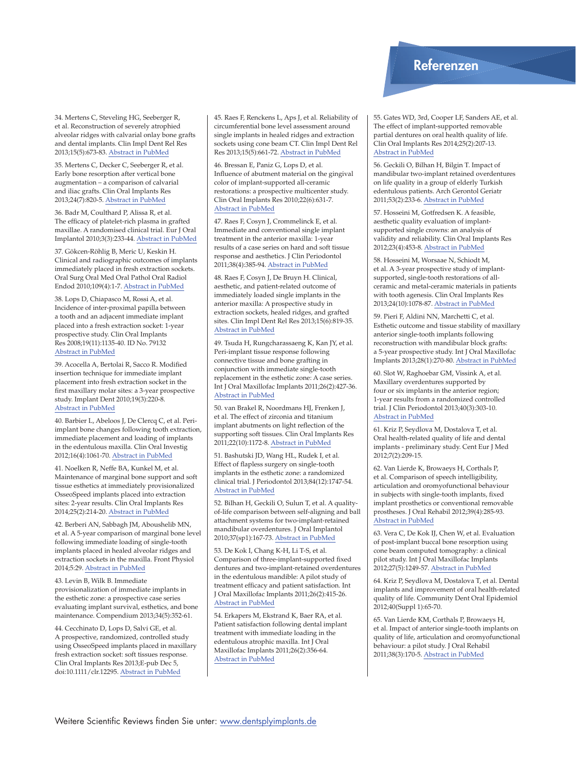34. Mertens C, Steveling HG, Seeberger R, et al. Reconstruction of severely atrophied alveolar ridges with calvarial onlay bone grafts and dental implants. Clin Impl Dent Rel Res 2013;15(5):673-83. [Abstract in PubMed](http://www.ncbi.nlm.nih.gov/pubmed/22008742)

35. Mertens C, Decker C, Seeberger R, et al. Early bone resorption after vertical bone augmentation – a comparison of calvarial and iliac grafts. Clin Oral Implants Res 2013;24(7):820-5. [Abstract in PubMed](http://www.ncbi.nlm.nih.gov/pubmed/22458589)

36. Badr M, Coulthard P, Alissa R, et al. The efficacy of platelet-rich plasma in grafted maxillae. A randomised clinical trial. Eur J Oral Implantol 2010;3(3):233-44. [Abstract in PubMed](http://www.ncbi.nlm.nih.gov/pubmed/20847993)

37. Gökcen-Röhlig B, Meric U, Keskin H. Clinical and radiographic outcomes of implants immediately placed in fresh extraction sockets. Oral Surg Oral Med Oral Pathol Oral Radiol Endod 2010;109(4):1-7. [Abstract in PubMed](http://www.ncbi.nlm.nih.gov/entrez/query.fcgi?cmd=Retrieve&db=PubMed&dopt=Citation&list_uids=20303040)

38. Lops D, Chiapasco M, Rossi A, et al. Incidence of inter-proximal papilla between a tooth and an adjacent immediate implant placed into a fresh extraction socket: 1-year prospective study. Clin Oral Implants Res 2008;19(11):1135-40. ID No. 79132 [Abstract in PubMed](http://www.ncbi.nlm.nih.gov/entrez/query.fcgi?cmd=Retrieve&db=PubMed&dopt=Citation&list_uids=18983316)

39. Acocella A, Bertolai R, Sacco R. Modified insertion technique for immediate implant placement into fresh extraction socket in the first maxillary molar sites: a 3-year prospective study. Implant Dent 2010;19(3):220-8. [Abstract in PubMed](http://www.ncbi.nlm.nih.gov/entrez/query.fcgi?cmd=Retrieve&db=PubMed&dopt=Citation&list_uids=20523178)

40. Barbier L, Abeloos J, De Clercq C, et al. Periimplant bone changes following tooth extraction, immediate placement and loading of implants in the edentulous maxilla. Clin Oral Investig 2012;16(4):1061-70. [Abstract in PubMed](http://www.ncbi.nlm.nih.gov/pubmed/21932023)

41. Noelken R, Neffe BA, Kunkel M, et al. Maintenance of marginal bone support and soft tissue esthetics at immediately provisionalized OsseoSpeed implants placed into extraction sites: 2-year results. Clin Oral Implants Res 2014;25(2):214-20. [Abstract in PubMed](http://www.ncbi.nlm.nih.gov/pubmed/23316954)

42. Berberi AN, Sabbagh JM, Aboushelib MN, et al. A 5-year comparison of marginal bone level following immediate loading of single-tooth implants placed in healed alveolar ridges and extraction sockets in the maxilla. Front Physiol 2014;5:29. [Abstract in PubMed](http://www.ncbi.nlm.nih.gov/pubmed/24550840)

43. Levin B, Wilk B. Immediate provisionalization of immediate implants in the esthetic zone: a prospective case series evaluating implant survival, esthetics, and bone maintenance. Compendium 2013;34(5):352-61.

44. Cecchinato D, Lops D, Salvi GE, et al. A prospective, randomized, controlled study using OsseoSpeed implants placed in maxillary fresh extraction socket: soft tissues response. Clin Oral Implants Res 2013;E-pub Dec 5, doi:10.1111/clr.12295. [Abstract in PubMed](http://www.ncbi.nlm.nih.gov/pubmed/24298982)

45. Raes F, Renckens L, Aps J, et al. Reliability of circumferential bone level assessment around single implants in healed ridges and extraction sockets using cone beam CT. Clin Impl Dent Rel Res 2013;15(5):661-72. [Abstract in PubMed](http://www.ncbi.nlm.nih.gov/pubmed/22008055)

46. Bressan E, Paniz G, Lops D, et al. Influence of abutment material on the gingival color of implant-supported all-ceramic restorations: a prospective multicenter study. Clin Oral Implants Res 2010;22(6):631-7. [Abstract in PubMed](http://www.ncbi.nlm.nih.gov/entrez/query.fcgi?cmd=Retrieve&db=PubMed&dopt=Citation&list_uids=21070378)

47. Raes F, Cosyn J, Crommelinck E, et al. Immediate and conventional single implant treatment in the anterior maxilla: 1-year results of a case series on hard and soft tissue response and aesthetics. J Clin Periodontol 2011;38(4):385-94. [Abstract in PubMed](http://www.ncbi.nlm.nih.gov/entrez/query.fcgi?cmd=Retrieve&db=PubMed&dopt=Citation&list_uids=21272052)

48. Raes F, Cosyn J, De Bruyn H. Clinical, aesthetic, and patient-related outcome of immediately loaded single implants in the anterior maxilla: A prospective study in extraction sockets, healed ridges, and grafted sites. Clin Impl Dent Rel Res 2013;15(6):819-35. [Abstract in PubMed](http://www.ncbi.nlm.nih.gov/pubmed/22251879)

49. Tsuda H, Rungcharassaeng K, Kan JY, et al. Peri-implant tissue response following connective tissue and bone grafting in conjunction with immediate single-tooth replacement in the esthetic zone: A case series. Int J Oral Maxillofac Implants 2011;26(2):427-36. [Abstract in PubMed](http://www.ncbi.nlm.nih.gov/entrez/query.fcgi?cmd=Retrieve&db=PubMed&dopt=Citation&list_uids=21483896)

50. van Brakel R, Noordmans HJ, Frenken J, et al. The effect of zirconia and titanium implant abutments on light reflection of the supporting soft tissues. Clin Oral Implants Res 2011;22(10):1172-8. [Abstract in PubMed](http://www.ncbi.nlm.nih.gov/entrez/query.fcgi?cmd=Retrieve&db=PubMed&dopt=Citation&list_uids=21251080)

51. Bashutski JD, Wang HL, Rudek I, et al. Effect of flapless surgery on single-tooth implants in the esthetic zone: a randomized clinical trial. J Periodontol 2013;84(12):1747-54. [Abstract in PubMed](http://www.ncbi.nlm.nih.gov/pubmed/23347348)

52. Bilhan H, Geckili O, Sulun T, et al. A qualityof-life comparison between self-aligning and ball attachment systems for two-implant-retained mandibular overdentures. J Oral Implantol 2010;37(sp1):167-73. [Abstract in PubMed](http://www.ncbi.nlm.nih.gov/entrez/query.fcgi?cmd=Retrieve&db=PubMed&dopt=Citation&list_uids=20662674)

53. De Kok I, Chang K-H, Li T-S, et al. Comparison of three-implant-supported fixed dentures and two-implant-retained overdentures in the edentulous mandible: A pilot study of treatment efficacy and patient satisfaction. Int J Oral Maxillofac Implants 2011;26(2):415-26. [Abstract in PubMed](http://www.ncbi.nlm.nih.gov/pubmed/21483895)

54. Erkapers M, Ekstrand K, Baer RA, et al. Patient satisfaction following dental implant treatment with immediate loading in the edentulous atrophic maxilla. Int J Oral Maxillofac Implants 2011;26(2):356-64. [Abstract in PubMed](http://www.ncbi.nlm.nih.gov/entrez/query.fcgi?cmd=Retrieve&db=PubMed&dopt=Citation&list_uids=21483889)

## Referenzen Referenzen

55. Gates WD, 3rd, Cooper LF, Sanders AE, et al. The effect of implant-supported removable partial dentures on oral health quality of life. Clin Oral Implants Res 2014;25(2):207-13. [Abstract in PubMed](http://www.ncbi.nlm.nih.gov/pubmed/23278481)

56. Geckili O, Bilhan H, Bilgin T. Impact of mandibular two-implant retained overdentures on life quality in a group of elderly Turkish edentulous patients. Arch Gerontol Geriatr 2011;53(2):233-6. [Abstract in PubMed](http://www.ncbi.nlm.nih.gov/entrez/query.fcgi?cmd=Retrieve&db=PubMed&dopt=Citation&list_uids=21183231)

57. Hosseini M, Gotfredsen K. A feasible, aesthetic quality evaluation of implantsupported single crowns: an analysis of validity and reliability. Clin Oral Implants Res 2012;23(4):453-8. [Abstract in PubMed](http://www.ncbi.nlm.nih.gov/entrez/query.fcgi?cmd=Retrieve&db=PubMed&dopt=Citation&list_uids=21443589)

58. Hosseini M, Worsaae N, Schiodt M, et al. A 3-year prospective study of implantsupported, single-tooth restorations of allceramic and metal-ceramic materials in patients with tooth agenesis. Clin Oral Implants Res 2013;24(10):1078-87. [Abstract in PubMed](http://www.ncbi.nlm.nih.gov/pubmed/22708959)

59. Pieri F, Aldini NN, Marchetti C, et al. Esthetic outcome and tissue stability of maxillary anterior single-tooth implants following reconstruction with mandibular block grafts: a 5-year prospective study. Int J Oral Maxillofac Implants 2013;28(1):270-80. [Abstract in PubMed](http://www.ncbi.nlm.nih.gov/pubmed/23377074)

60. Slot W, Raghoebar GM, Vissink A, et al. Maxillary overdentures supported by four or six implants in the anterior region; 1-year results from a randomized controlled trial. J Clin Periodontol 2013;40(3):303-10. [Abstract in PubMed](http://www.ncbi.nlm.nih.gov/pubmed/23320877)

61. Kriz P, Seydlova M, Dostalova T, et al. Oral health-related quality of life and dental implants - preliminary study. Cent Eur J Med 2012;7(2):209-15.

62. Van Lierde K, Browaeys H, Corthals P, et al. Comparison of speech intelligibility, articulation and oromyofunctional behaviour in subjects with single-tooth implants, fixed implant prosthetics or conventional removable prostheses. J Oral Rehabil 2012;39(4):285-93. [Abstract in PubMed](http://dx.doi.org/10.1111/j.1365-2842.2011.02282.x)

63. Vera C, De Kok IJ, Chen W, et al. Evaluation of post-implant buccal bone resorption using cone beam computed tomography: a clinical pilot study. Int J Oral Maxillofac Implants 2012;27(5):1249-57. [Abstract in PubMed](http://www.ncbi.nlm.nih.gov/pubmed/23057042)

64. Kriz P, Seydlova M, Dostalova T, et al. Dental implants and improvement of oral health-related quality of life. Community Dent Oral Epidemiol 2012;40(Suppl 1):65-70.

65. Van Lierde KM, Corthals P, Browaeys H, et al. Impact of anterior single-tooth implants on quality of life, articulation and oromyofunctional behaviour: a pilot study. J Oral Rehabil 2011;38(3):170-5. [Abstract in PubMed](http://www.ncbi.nlm.nih.gov/pubmed/20880325)